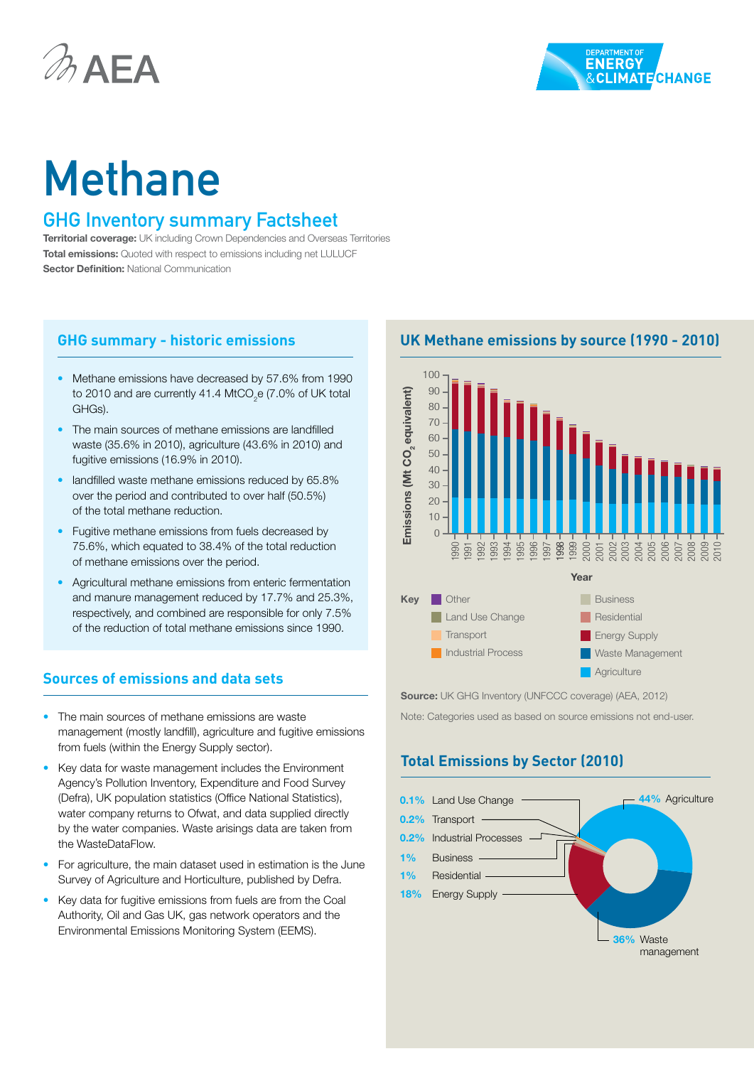



# Methane

## GHG Inventory summary Factsheet

**Territorial coverage:** UK including Crown Dependencies and Overseas Territories **Total emissions:** Quoted with respect to emissions including net LULUCF **Sector Definition: National Communication** 

#### **GHG summary - historic emissions**

- Methane emissions have decreased by 57.6% from 1990 to 2010 and are currently 41.4 MtCO<sub>2</sub>e (7.0% of UK total GHGs).
- The main sources of methane emissions are landfilled waste (35.6% in 2010), agriculture (43.6% in 2010) and fugitive emissions (16.9% in 2010).
- landfilled waste methane emissions reduced by 65.8% over the period and contributed to over half (50.5%) of the total methane reduction.
- Fugitive methane emissions from fuels decreased by 75.6%, which equated to 38.4% of the total reduction of methane emissions over the period.
- Agricultural methane emissions from enteric fermentation and manure management reduced by 17.7% and 25.3%, respectively, and combined are responsible for only 7.5% of the reduction of total methane emissions since 1990.

#### **Sources of emissions and data sets**

- The main sources of methane emissions are waste management (mostly landfill), agriculture and fugitive emissions from fuels (within the Energy Supply sector).
- Key data for waste management includes the Environment Agency's Pollution Inventory, Expenditure and Food Survey (Defra), UK population statistics (Office National Statistics), water company returns to Ofwat, and data supplied directly by the water companies. Waste arisings data are taken from the WasteDataFlow.
- For agriculture, the main dataset used in estimation is the June Survey of Agriculture and Horticulture, published by Defra.
- Key data for fugitive emissions from fuels are from the Coal Authority, Oil and Gas UK, gas network operators and the Environmental Emissions Monitoring System (EEMS).

**UK Methane emissions by source (1990 - 2010)**



Source: UK GHG Inventory (UNFCCC coverage) (AEA, 2012)

Note: Categories used as based on source emissions not end-user.

## **Total Emissions by Sector (2010)**